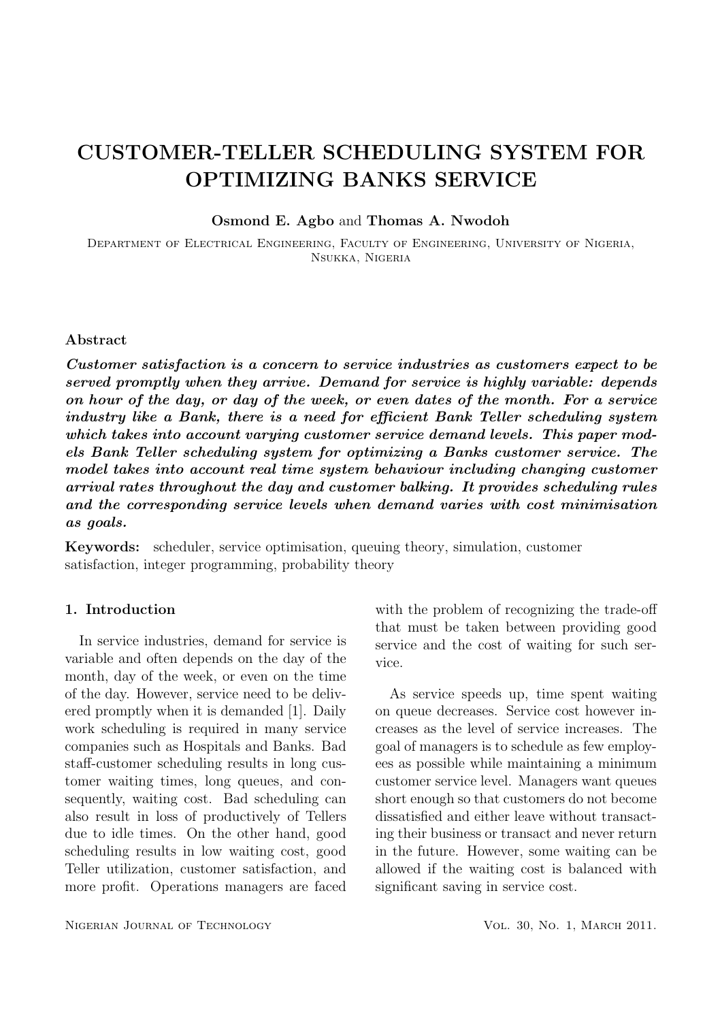# CUSTOMER-TELLER SCHEDULING SYSTEM FOR OPTIMIZING BANKS SERVICE

Osmond E. Agbo and Thomas A. Nwodoh

Department of Electrical Engineering, Faculty of Engineering, University of Nigeria, Nsukka, Nigeria

# Abstract

Customer satisfaction is a concern to service industries as customers expect to be served promptly when they arrive. Demand for service is highly variable: depends on hour of the day, or day of the week, or even dates of the month. For a service industry like a Bank, there is a need for efficient Bank Teller scheduling system which takes into account varying customer service demand levels. This paper models Bank Teller scheduling system for optimizing a Banks customer service. The model takes into account real time system behaviour including changing customer arrival rates throughout the day and customer balking. It provides scheduling rules and the corresponding service levels when demand varies with cost minimisation as goals.

Keywords: scheduler, service optimisation, queuing theory, simulation, customer satisfaction, integer programming, probability theory

# 1. Introduction

In service industries, demand for service is variable and often depends on the day of the month, day of the week, or even on the time of the day. However, service need to be delivered promptly when it is demanded [1]. Daily work scheduling is required in many service companies such as Hospitals and Banks. Bad staff-customer scheduling results in long customer waiting times, long queues, and consequently, waiting cost. Bad scheduling can also result in loss of productively of Tellers due to idle times. On the other hand, good scheduling results in low waiting cost, good Teller utilization, customer satisfaction, and more profit. Operations managers are faced

with the problem of recognizing the trade-off that must be taken between providing good service and the cost of waiting for such service.

As service speeds up, time spent waiting on queue decreases. Service cost however increases as the level of service increases. The goal of managers is to schedule as few employees as possible while maintaining a minimum customer service level. Managers want queues short enough so that customers do not become dissatisfied and either leave without transacting their business or transact and never return in the future. However, some waiting can be allowed if the waiting cost is balanced with significant saving in service cost.

NIGERIAN JOURNAL OF TECHNOLOGY VOL. 30, NO. 1, MARCH 2011.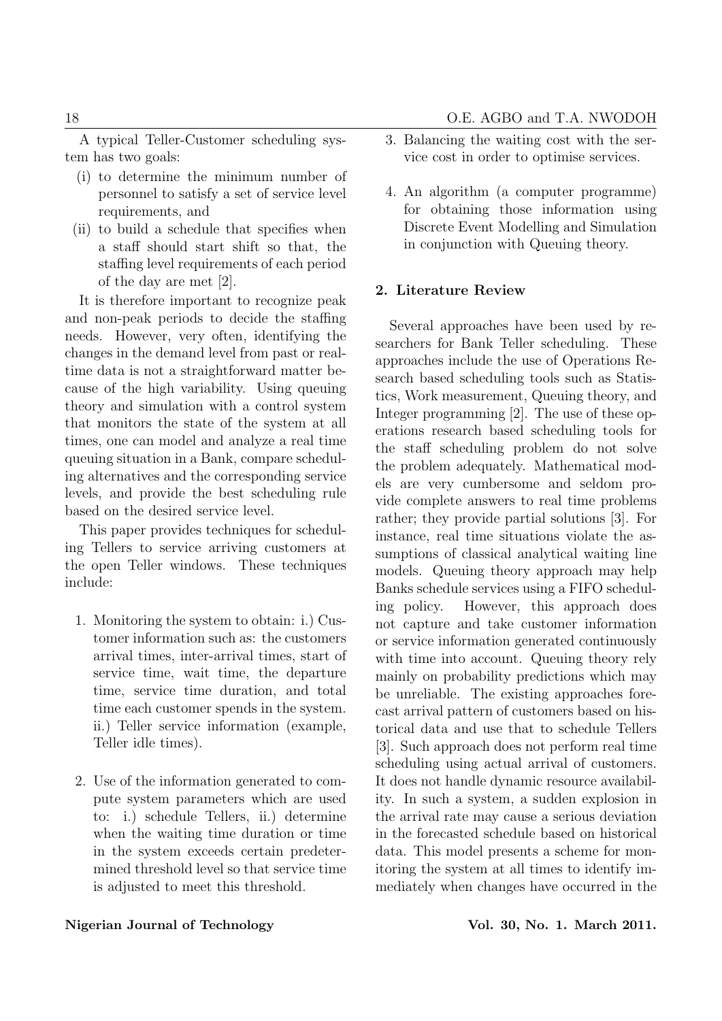A typical Teller-Customer scheduling system has two goals:

- (i) to determine the minimum number of personnel to satisfy a set of service level requirements, and
- (ii) to build a schedule that specifies when a staff should start shift so that, the staffing level requirements of each period of the day are met [2].

It is therefore important to recognize peak and non-peak periods to decide the staffing needs. However, very often, identifying the changes in the demand level from past or realtime data is not a straightforward matter because of the high variability. Using queuing theory and simulation with a control system that monitors the state of the system at all times, one can model and analyze a real time queuing situation in a Bank, compare scheduling alternatives and the corresponding service levels, and provide the best scheduling rule based on the desired service level.

This paper provides techniques for scheduling Tellers to service arriving customers at the open Teller windows. These techniques include:

- 1. Monitoring the system to obtain: i.) Customer information such as: the customers arrival times, inter-arrival times, start of service time, wait time, the departure time, service time duration, and total time each customer spends in the system. ii.) Teller service information (example, Teller idle times).
- 2. Use of the information generated to compute system parameters which are used to: i.) schedule Tellers, ii.) determine when the waiting time duration or time in the system exceeds certain predetermined threshold level so that service time is adjusted to meet this threshold.
- 3. Balancing the waiting cost with the service cost in order to optimise services.
- 4. An algorithm (a computer programme) for obtaining those information using Discrete Event Modelling and Simulation in conjunction with Queuing theory.

# 2. Literature Review

Several approaches have been used by researchers for Bank Teller scheduling. These approaches include the use of Operations Research based scheduling tools such as Statistics, Work measurement, Queuing theory, and Integer programming [2]. The use of these operations research based scheduling tools for the staff scheduling problem do not solve the problem adequately. Mathematical models are very cumbersome and seldom provide complete answers to real time problems rather; they provide partial solutions [3]. For instance, real time situations violate the assumptions of classical analytical waiting line models. Queuing theory approach may help Banks schedule services using a FIFO scheduling policy. However, this approach does not capture and take customer information or service information generated continuously with time into account. Queuing theory rely mainly on probability predictions which may be unreliable. The existing approaches forecast arrival pattern of customers based on historical data and use that to schedule Tellers [3]. Such approach does not perform real time scheduling using actual arrival of customers. It does not handle dynamic resource availability. In such a system, a sudden explosion in the arrival rate may cause a serious deviation in the forecasted schedule based on historical data. This model presents a scheme for monitoring the system at all times to identify immediately when changes have occurred in the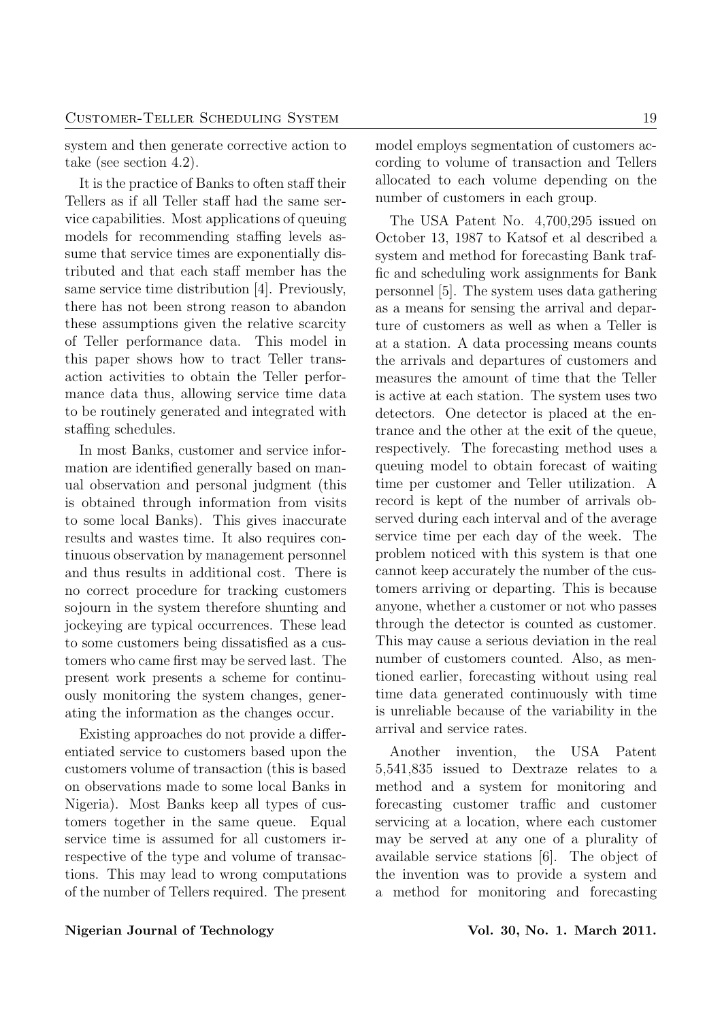system and then generate corrective action to take (see section 4.2).

It is the practice of Banks to often staff their Tellers as if all Teller staff had the same service capabilities. Most applications of queuing models for recommending staffing levels assume that service times are exponentially distributed and that each staff member has the same service time distribution [4]. Previously, there has not been strong reason to abandon these assumptions given the relative scarcity of Teller performance data. This model in this paper shows how to tract Teller transaction activities to obtain the Teller performance data thus, allowing service time data to be routinely generated and integrated with staffing schedules.

In most Banks, customer and service information are identified generally based on manual observation and personal judgment (this is obtained through information from visits to some local Banks). This gives inaccurate results and wastes time. It also requires continuous observation by management personnel and thus results in additional cost. There is no correct procedure for tracking customers sojourn in the system therefore shunting and jockeying are typical occurrences. These lead to some customers being dissatisfied as a customers who came first may be served last. The present work presents a scheme for continuously monitoring the system changes, generating the information as the changes occur.

Existing approaches do not provide a differentiated service to customers based upon the customers volume of transaction (this is based on observations made to some local Banks in Nigeria). Most Banks keep all types of customers together in the same queue. Equal service time is assumed for all customers irrespective of the type and volume of transactions. This may lead to wrong computations of the number of Tellers required. The present model employs segmentation of customers according to volume of transaction and Tellers allocated to each volume depending on the number of customers in each group.

The USA Patent No. 4,700,295 issued on October 13, 1987 to Katsof et al described a system and method for forecasting Bank traffic and scheduling work assignments for Bank personnel [5]. The system uses data gathering as a means for sensing the arrival and departure of customers as well as when a Teller is at a station. A data processing means counts the arrivals and departures of customers and measures the amount of time that the Teller is active at each station. The system uses two detectors. One detector is placed at the entrance and the other at the exit of the queue, respectively. The forecasting method uses a queuing model to obtain forecast of waiting time per customer and Teller utilization. A record is kept of the number of arrivals observed during each interval and of the average service time per each day of the week. The problem noticed with this system is that one cannot keep accurately the number of the customers arriving or departing. This is because anyone, whether a customer or not who passes through the detector is counted as customer. This may cause a serious deviation in the real number of customers counted. Also, as mentioned earlier, forecasting without using real time data generated continuously with time is unreliable because of the variability in the arrival and service rates.

Another invention, the USA Patent 5,541,835 issued to Dextraze relates to a method and a system for monitoring and forecasting customer traffic and customer servicing at a location, where each customer may be served at any one of a plurality of available service stations [6]. The object of the invention was to provide a system and a method for monitoring and forecasting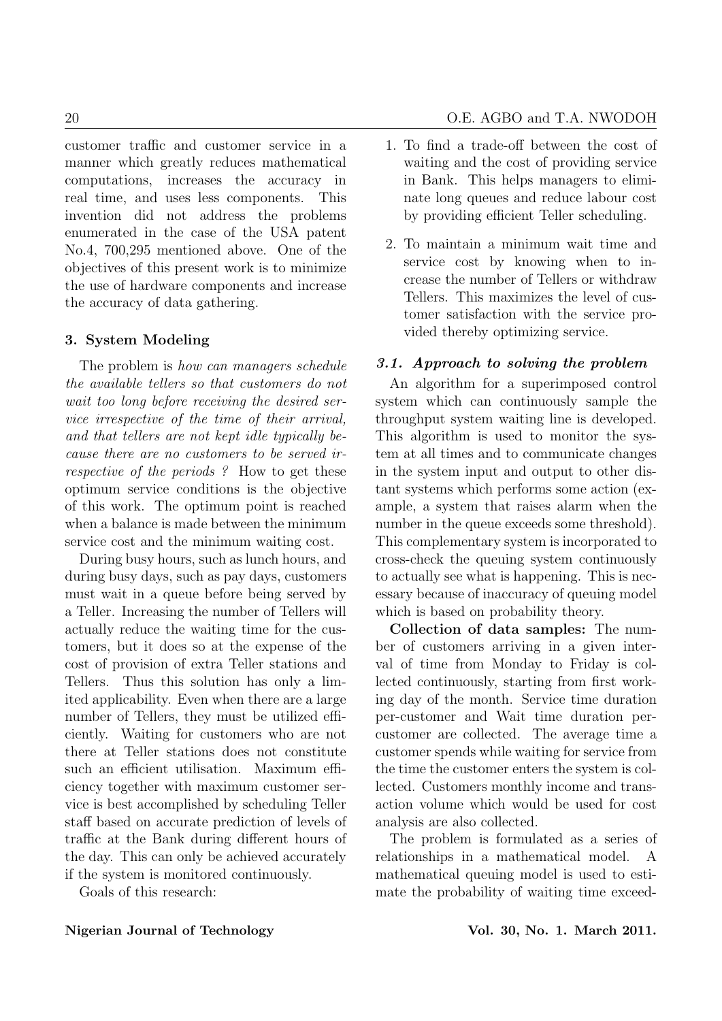customer traffic and customer service in a manner which greatly reduces mathematical computations, increases the accuracy in real time, and uses less components. This invention did not address the problems enumerated in the case of the USA patent No.4, 700,295 mentioned above. One of the objectives of this present work is to minimize the use of hardware components and increase the accuracy of data gathering.

# 3. System Modeling

The problem is *how can managers schedule* the available tellers so that customers do not wait too long before receiving the desired service irrespective of the time of their arrival, and that tellers are not kept idle typically because there are no customers to be served irrespective of the periods ? How to get these optimum service conditions is the objective of this work. The optimum point is reached when a balance is made between the minimum service cost and the minimum waiting cost.

During busy hours, such as lunch hours, and during busy days, such as pay days, customers must wait in a queue before being served by a Teller. Increasing the number of Tellers will actually reduce the waiting time for the customers, but it does so at the expense of the cost of provision of extra Teller stations and Tellers. Thus this solution has only a limited applicability. Even when there are a large number of Tellers, they must be utilized efficiently. Waiting for customers who are not there at Teller stations does not constitute such an efficient utilisation. Maximum efficiency together with maximum customer service is best accomplished by scheduling Teller staff based on accurate prediction of levels of traffic at the Bank during different hours of the day. This can only be achieved accurately if the system is monitored continuously.

Goals of this research:

- 1. To find a trade-off between the cost of waiting and the cost of providing service in Bank. This helps managers to eliminate long queues and reduce labour cost by providing efficient Teller scheduling.
- 2. To maintain a minimum wait time and service cost by knowing when to increase the number of Tellers or withdraw Tellers. This maximizes the level of customer satisfaction with the service provided thereby optimizing service.

### 3.1. Approach to solving the problem

An algorithm for a superimposed control system which can continuously sample the throughput system waiting line is developed. This algorithm is used to monitor the system at all times and to communicate changes in the system input and output to other distant systems which performs some action (example, a system that raises alarm when the number in the queue exceeds some threshold). This complementary system is incorporated to cross-check the queuing system continuously to actually see what is happening. This is necessary because of inaccuracy of queuing model which is based on probability theory.

Collection of data samples: The number of customers arriving in a given interval of time from Monday to Friday is collected continuously, starting from first working day of the month. Service time duration per-customer and Wait time duration percustomer are collected. The average time a customer spends while waiting for service from the time the customer enters the system is collected. Customers monthly income and transaction volume which would be used for cost analysis are also collected.

The problem is formulated as a series of relationships in a mathematical model. A mathematical queuing model is used to estimate the probability of waiting time exceed-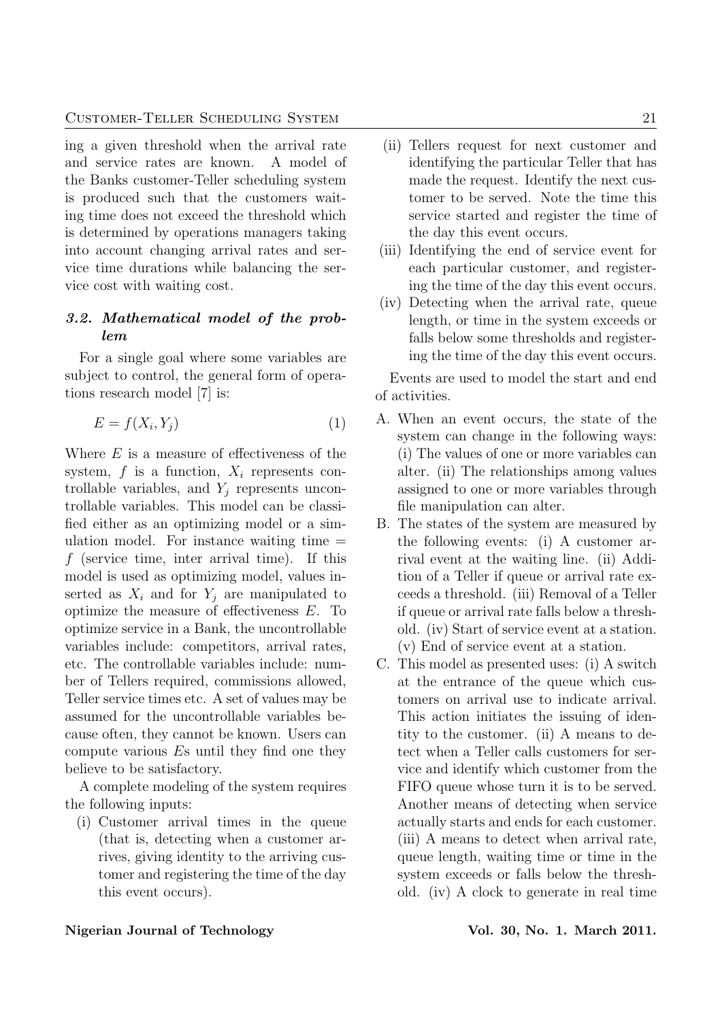ing a given threshold when the arrival rate and service rates are known. A model of the Banks customer-Teller scheduling system is produced such that the customers waiting time does not exceed the threshold which is determined by operations managers taking into account changing arrival rates and service time durations while balancing the service cost with waiting cost.

# 3.2. Mathematical model of the problem

For a single goal where some variables are subject to control, the general form of operations research model [7] is:

$$
E = f(X_i, Y_j) \tag{1}
$$

Where  $E$  is a measure of effectiveness of the system,  $f$  is a function,  $X_i$  represents controllable variables, and  $Y_j$  represents uncontrollable variables. This model can be classified either as an optimizing model or a simulation model. For instance waiting time  $=$  $f$  (service time, inter arrival time). If this model is used as optimizing model, values inserted as  $X_i$  and for  $Y_j$  are manipulated to optimize the measure of effectiveness E. To optimize service in a Bank, the uncontrollable variables include: competitors, arrival rates, etc. The controllable variables include: number of Tellers required, commissions allowed, Teller service times etc. A set of values may be assumed for the uncontrollable variables because often, they cannot be known. Users can compute various Es until they find one they believe to be satisfactory.

A complete modeling of the system requires the following inputs:

(i) Customer arrival times in the queue (that is, detecting when a customer arrives, giving identity to the arriving customer and registering the time of the day this event occurs).

- (ii) Tellers request for next customer and identifying the particular Teller that has made the request. Identify the next customer to be served. Note the time this service started and register the time of the day this event occurs.
- (iii) Identifying the end of service event for each particular customer, and registering the time of the day this event occurs.
- (iv) Detecting when the arrival rate, queue length, or time in the system exceeds or falls below some thresholds and registering the time of the day this event occurs.

Events are used to model the start and end of activities.

- A. When an event occurs, the state of the system can change in the following ways: (i) The values of one or more variables can alter. (ii) The relationships among values assigned to one or more variables through file manipulation can alter.
- B. The states of the system are measured by the following events: (i) A customer arrival event at the waiting line. (ii) Addition of a Teller if queue or arrival rate exceeds a threshold. (iii) Removal of a Teller if queue or arrival rate falls below a threshold. (iv) Start of service event at a station. (v) End of service event at a station.
- C. This model as presented uses: (i) A switch at the entrance of the queue which customers on arrival use to indicate arrival. This action initiates the issuing of identity to the customer. (ii) A means to detect when a Teller calls customers for service and identify which customer from the FIFO queue whose turn it is to be served. Another means of detecting when service actually starts and ends for each customer. (iii) A means to detect when arrival rate, queue length, waiting time or time in the system exceeds or falls below the threshold. (iv) A clock to generate in real time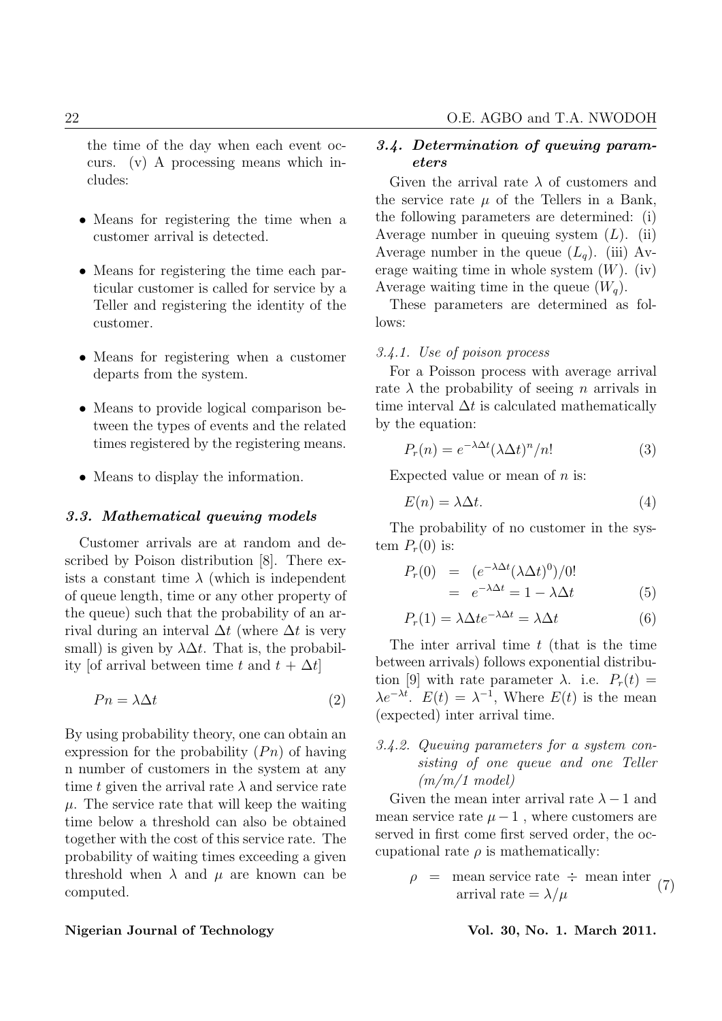the time of the day when each event occurs. (v) A processing means which includes:

- Means for registering the time when a customer arrival is detected.
- Means for registering the time each particular customer is called for service by a Teller and registering the identity of the customer.
- Means for registering when a customer departs from the system.
- Means to provide logical comparison between the types of events and the related times registered by the registering means.
- Means to display the information.

#### 3.3. Mathematical queuing models

Customer arrivals are at random and described by Poison distribution [8]. There exists a constant time  $\lambda$  (which is independent of queue length, time or any other property of the queue) such that the probability of an arrival during an interval  $\Delta t$  (where  $\Delta t$  is very small) is given by  $\lambda \Delta t$ . That is, the probability [of arrival between time t and  $t + \Delta t$ ]

$$
Pn = \lambda \Delta t \tag{2}
$$

By using probability theory, one can obtain an expression for the probability  $(P_n)$  of having n number of customers in the system at any time t given the arrival rate  $\lambda$  and service rate  $\mu$ . The service rate that will keep the waiting time below a threshold can also be obtained together with the cost of this service rate. The probability of waiting times exceeding a given threshold when  $\lambda$  and  $\mu$  are known can be computed.

#### Nigerian Journal of Technology **Vol. 30, No. 1. March 2011**.

# 3.4. Determination of queuing parameters

Given the arrival rate  $\lambda$  of customers and the service rate  $\mu$  of the Tellers in a Bank, the following parameters are determined: (i) Average number in queuing system  $(L)$ . (ii) Average number in the queue  $(L_q)$ . (iii) Average waiting time in whole system  $(W)$ . (iv) Average waiting time in the queue  $(W_a)$ .

These parameters are determined as follows:

#### 3.4.1. Use of poison process

For a Poisson process with average arrival rate  $\lambda$  the probability of seeing *n* arrivals in time interval  $\Delta t$  is calculated mathematically by the equation:

$$
P_r(n) = e^{-\lambda \Delta t} (\lambda \Delta t)^n / n! \tag{3}
$$

Expected value or mean of  $n$  is:

$$
E(n) = \lambda \Delta t. \tag{4}
$$

The probability of no customer in the system  $P_r(0)$  is:

$$
P_r(0) = (e^{-\lambda \Delta t} (\lambda \Delta t)^0)/0!
$$
  
=  $e^{-\lambda \Delta t} = 1 - \lambda \Delta t$  (5)

$$
P_r(1) = \lambda \Delta t e^{-\lambda \Delta t} = \lambda \Delta t \tag{6}
$$

The inter arrival time  $t$  (that is the time between arrivals) follows exponential distribution [9] with rate parameter  $\lambda$ . i.e.  $P_r(t) =$  $\lambda e^{-\lambda t}$ .  $E(t) = \lambda^{-1}$ , Where  $E(t)$  is the mean (expected) inter arrival time.

# 3.4.2. Queuing parameters for a system consisting of one queue and one Teller  $(m/m/1 \mod el)$

Given the mean inter arrival rate  $\lambda - 1$  and mean service rate  $\mu - 1$ , where customers are served in first come first served order, the occupational rate  $\rho$  is mathematically:

> $\rho$  = mean service rate  $\div$  mean inter arrival rate  $=\lambda/\mu$  (7)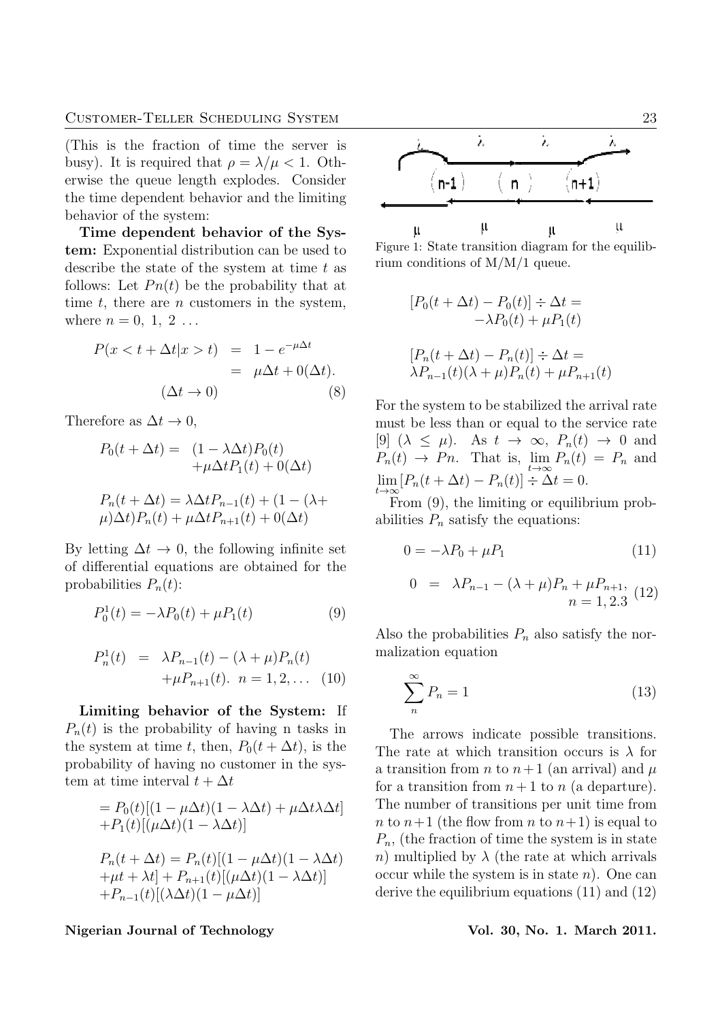(This is the fraction of time the server is busy). It is required that  $\rho = \lambda/\mu < 1$ . Otherwise the queue length explodes. Consider the time dependent behavior and the limiting behavior of the system:

Time dependent behavior of the System: Exponential distribution can be used to describe the state of the system at time  $t$  as follows: Let  $P_n(t)$  be the probability that at time  $t$ , there are  $n$  customers in the system, where  $n = 0, 1, 2...$ 

$$
P(x < t + \Delta t | x > t) = 1 - e^{-\mu \Delta t}
$$
  
=  $\mu \Delta t + 0(\Delta t)$ .  
(8)

Therefore as  $\Delta t \rightarrow 0$ ,

$$
P_0(t + \Delta t) = (1 - \lambda \Delta t) P_0(t)
$$
  
+  $\mu \Delta t P_1(t) + 0(\Delta t)$   

$$
P_n(t + \Delta t) = \lambda \Delta t P_{n-1}(t) + (1 - (\lambda + \mu) \Delta t) P_n(t) + \mu \Delta t P_{n+1}(t) + 0(\Delta t)
$$

By letting  $\Delta t \rightarrow 0$ , the following infinite set of differential equations are obtained for the probabilities  $P_n(t)$ :

$$
P_0^1(t) = -\lambda P_0(t) + \mu P_1(t)
$$
\n(9)

$$
P_n^1(t) = \lambda P_{n-1}(t) - (\lambda + \mu) P_n(t)
$$
  
 
$$
+ \mu P_{n+1}(t). \quad n = 1, 2, ... \quad (10)
$$

Limiting behavior of the System: If  $P_n(t)$  is the probability of having n tasks in the system at time t, then,  $P_0(t + \Delta t)$ , is the probability of having no customer in the system at time interval  $t + \Delta t$ 

$$
= P_0(t)[(1 - \mu \Delta t)(1 - \lambda \Delta t) + \mu \Delta t \lambda \Delta t]
$$

$$
+ P_1(t)[(\mu \Delta t)(1 - \lambda \Delta t)]
$$

$$
P_n(t + \Delta t) = P_n(t)[(1 - \mu \Delta t)(1 - \lambda \Delta t)
$$

$$
+ \mu t + \lambda t] + P_{n+1}(t)[(\mu \Delta t)(1 - \lambda \Delta t)]
$$

$$
+ P_{n-1}(t)[(\lambda \Delta t)(1 - \mu \Delta t)]
$$

Nigerian Journal of Technology **Vol. 30, No. 1. March 2011**.



Figure 1: State transition diagram for the equilibrium conditions of M/M/1 queue.

$$
[P_0(t + \Delta t) - P_0(t)] \div \Delta t =
$$
  

$$
-\lambda P_0(t) + \mu P_1(t)
$$
  

$$
[P_n(t + \Delta t) - P_n(t)] \div \Delta t =
$$
  

$$
\lambda P_{n-1}(t)(\lambda + \mu)P_n(t) + \mu P_{n+1}(t)
$$

For the system to be stabilized the arrival rate must be less than or equal to the service rate [9]  $(\lambda \leq \mu)$ . As  $t \to \infty$ ,  $P_n(t) \to 0$  and  $P_n(t) \to P_n$ . That is,  $\lim_{t \to \infty} P_n(t) = P_n$  and  $\lim_{t\to\infty} [P_n(t+\Delta t)-P_n(t)] \div \Delta t = 0.$ 

From  $(9)$ , the limiting or equilibrium probabilities  $P_n$  satisfy the equations:

$$
0 = -\lambda P_0 + \mu P_1 \tag{11}
$$

$$
0 = \lambda P_{n-1} - (\lambda + \mu) P_n + \mu P_{n+1},
$$
  
\n
$$
n = 1, 2.3
$$
 (12)

Also the probabilities  $P_n$  also satisfy the normalization equation

$$
\sum_{n}^{\infty} P_n = 1\tag{13}
$$

The arrows indicate possible transitions. The rate at which transition occurs is  $\lambda$  for a transition from n to  $n+1$  (an arrival) and  $\mu$ for a transition from  $n+1$  to n (a departure). The number of transitions per unit time from n to  $n+1$  (the flow from n to  $n+1$ ) is equal to  $P_n$ , (the fraction of time the system is in state n) multiplied by  $\lambda$  (the rate at which arrivals occur while the system is in state  $n$ ). One can derive the equilibrium equations (11) and (12)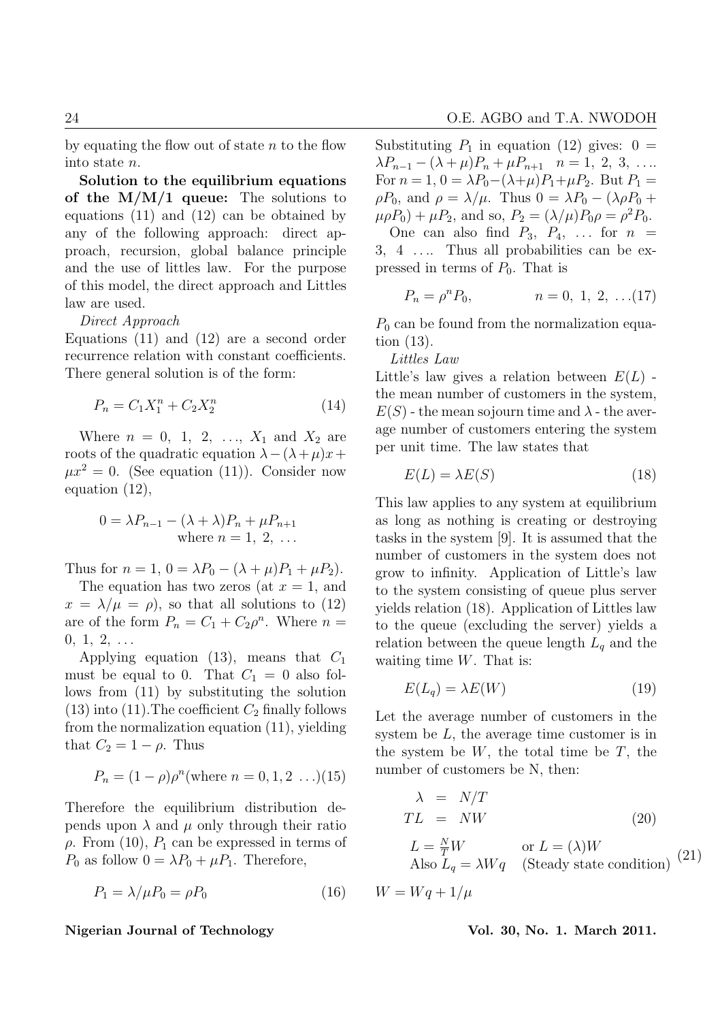by equating the flow out of state  $n$  to the flow into state n.

Solution to the equilibrium equations of the  $M/M/1$  queue: The solutions to equations (11) and (12) can be obtained by any of the following approach: direct approach, recursion, global balance principle and the use of littles law. For the purpose of this model, the direct approach and Littles law are used.

Direct Approach

Equations (11) and (12) are a second order recurrence relation with constant coefficients. There general solution is of the form:

$$
P_n = C_1 X_1^n + C_2 X_2^n \tag{14}
$$

Where  $n = 0, 1, 2, ..., X_1$  and  $X_2$  are roots of the quadratic equation  $\lambda - (\lambda + \mu)x +$  $\mu x^2 = 0$ . (See equation (11)). Consider now equation (12),

$$
0 = \lambda P_{n-1} - (\lambda + \lambda)P_n + \mu P_{n+1}
$$
  
where  $n = 1, 2, ...$ 

Thus for  $n = 1$ ,  $0 = \lambda P_0 - (\lambda + \mu)P_1 + \mu P_2$ .

The equation has two zeros (at  $x = 1$ , and  $x = \lambda/\mu = \rho$ , so that all solutions to (12) are of the form  $P_n = C_1 + C_2 \rho^n$ . Where  $n =$  $0, 1, 2, \ldots$ 

Applying equation (13), means that  $C_1$ must be equal to 0. That  $C_1 = 0$  also follows from (11) by substituting the solution  $(13)$  into  $(11)$ . The coefficient  $C_2$  finally follows from the normalization equation (11), yielding that  $C_2 = 1 - \rho$ . Thus

$$
P_n = (1 - \rho)\rho^n(\text{where } n = 0, 1, 2 \dots)(15)
$$

Therefore the equilibrium distribution depends upon  $\lambda$  and  $\mu$  only through their ratio  $\rho$ . From (10),  $P_1$  can be expressed in terms of  $P_0$  as follow  $0 = \lambda P_0 + \mu P_1$ . Therefore,

$$
P_1 = \lambda / \mu P_0 = \rho P_0 \tag{16}
$$

#### Nigerian Journal of Technology **Vol. 30, No. 1. March 2011**.

Substituting  $P_1$  in equation (12) gives:  $0 =$  $\lambda P_{n-1} - (\lambda + \mu)P_n + \mu P_{n+1}$   $n = 1, 2, 3, \ldots$ For  $n = 1$ ,  $0 = \lambda P_0 - (\lambda + \mu)P_1 + \mu P_2$ . But  $P_1 =$  $\rho P_0$ , and  $\rho = \lambda/\mu$ . Thus  $0 = \lambda P_0 - (\lambda \rho P_0 +$  $\mu \rho P_0$  +  $\mu P_2$ , and so,  $P_2 = (\lambda / \mu) P_0 \rho = \rho^2 P_0$ . One can also find  $P_3$ ,  $P_4$ , ... for  $n =$ 

3, 4 . . .. Thus all probabilities can be expressed in terms of  $P_0$ . That is

$$
P_n = \rho^n P_0, \qquad n = 0, 1, 2, \dots (17)
$$

 $P_0$  can be found from the normalization equation (13).

Littles Law

Little's law gives a relation between  $E(L)$ . the mean number of customers in the system,  $E(S)$  - the mean sojourn time and  $\lambda$  - the average number of customers entering the system per unit time. The law states that

$$
E(L) = \lambda E(S) \tag{18}
$$

This law applies to any system at equilibrium as long as nothing is creating or destroying tasks in the system [9]. It is assumed that the number of customers in the system does not grow to infinity. Application of Little's law to the system consisting of queue plus server yields relation (18). Application of Littles law to the queue (excluding the server) yields a relation between the queue length  $L_q$  and the waiting time  $W$ . That is:

$$
E(L_q) = \lambda E(W) \tag{19}
$$

Let the average number of customers in the system be  $L$ , the average time customer is in the system be  $W$ , the total time be  $T$ , the number of customers be N, then:

$$
\lambda = N/T
$$
  
\n
$$
TL = NW
$$
 (20)  
\n
$$
L = \frac{N}{T}W
$$
 or  $L = (\lambda)W$   
\nAlso  $L_q = \lambda Wq$  (Steady state condition) (21)

 $W = Wa + 1/\mu$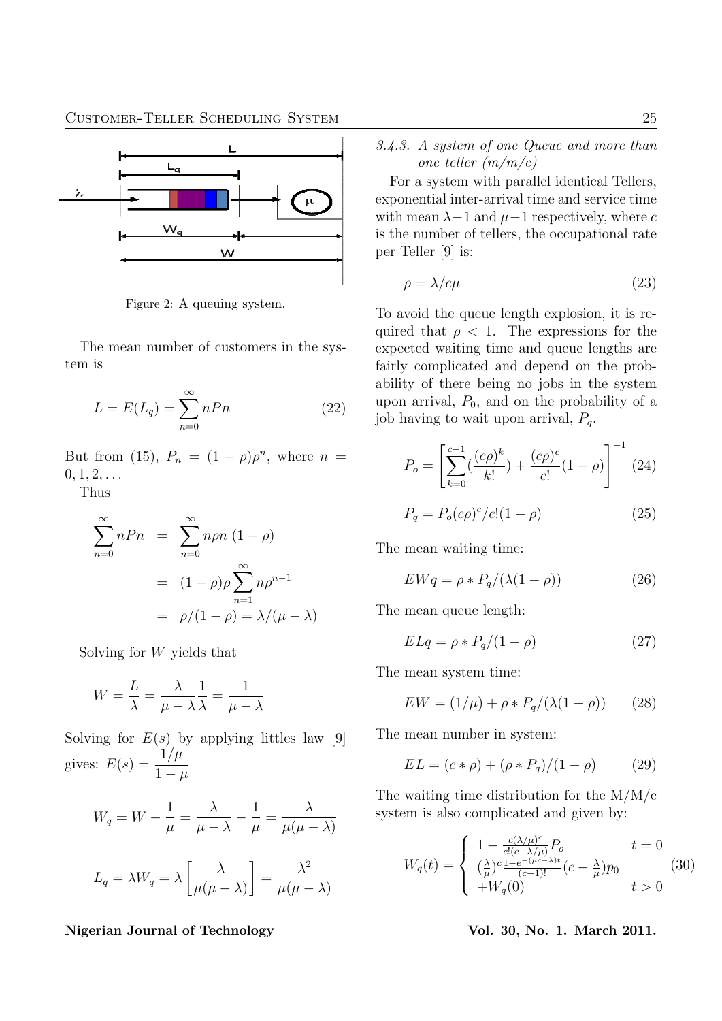

Figure 2: A queuing system.

The mean number of customers in the system is

$$
L = E(L_q) = \sum_{n=0}^{\infty} nPn
$$
 (22)

But from (15),  $P_n = (1 - \rho)\rho^n$ , where  $n =$  $0, 1, 2, \ldots$ 

Thus

$$
\sum_{n=0}^{\infty} n P n = \sum_{n=0}^{\infty} n \rho n (1 - \rho)
$$

$$
= (1 - \rho) \rho \sum_{n=1}^{\infty} n \rho^{n-1}
$$

$$
= \rho/(1 - \rho) = \lambda/(\mu - \lambda)
$$

Solving for W yields that

$$
W = \frac{L}{\lambda} = \frac{\lambda}{\mu - \lambda} \frac{1}{\lambda} = \frac{1}{\mu - \lambda}
$$

Solving for  $E(s)$  by applying littles law [9] gives:  $E(s) = \frac{1/\mu}{1}$  $1-\mu$ 

$$
W_q = W - \frac{1}{\mu} = \frac{\lambda}{\mu - \lambda} - \frac{1}{\mu} = \frac{\lambda}{\mu(\mu - \lambda)}
$$

$$
L_q = \lambda W_q = \lambda \left[ \frac{\lambda}{\mu(\mu - \lambda)} \right] = \frac{\lambda^2}{\mu(\mu - \lambda)}
$$

Nigerian Journal of Technology Vol. 30, No. 1. March 2011.

3.4.3. A system of one Queue and more than one teller (m/m/c)

For a system with parallel identical Tellers, exponential inter-arrival time and service time with mean  $\lambda - 1$  and  $\mu - 1$  respectively, where c is the number of tellers, the occupational rate per Teller [9] is:

$$
\rho = \lambda / c\mu \tag{23}
$$

To avoid the queue length explosion, it is required that  $\rho < 1$ . The expressions for the expected waiting time and queue lengths are fairly complicated and depend on the probability of there being no jobs in the system upon arrival,  $P_0$ , and on the probability of a job having to wait upon arrival,  $P_q$ .

$$
P_o = \left[\sum_{k=0}^{c-1} \left(\frac{(c\rho)^k}{k!}\right) + \frac{(c\rho)^c}{c!} (1-\rho)\right]^{-1} (24)
$$

$$
P_q = P_o(c\rho)^c / c! (1 - \rho)
$$
 (25)

The mean waiting time:

$$
EWq = \rho * P_q/(\lambda(1 - \rho))
$$
 (26)

The mean queue length:

$$
ELq = \rho * P_q/(1 - \rho) \tag{27}
$$

The mean system time:

$$
EW = (1/\mu) + \rho * P_q/(\lambda(1 - \rho))
$$
 (28)

The mean number in system:

$$
EL = (c * \rho) + (\rho * P_q)/(1 - \rho) \tag{29}
$$

The waiting time distribution for the M/M/c system is also complicated and given by:

$$
W_q(t) = \begin{cases} 1 - \frac{c(\lambda/\mu)^c}{c!(c-\lambda/\mu)} P_o & t = 0\\ \frac{(\lambda}{\mu})^c \frac{1 - e^{-(\mu c - \lambda)t}}{(c-1)!} (c - \frac{\lambda}{\mu}) p_0 & (30) \\ + W_q(0) & t > 0 \end{cases}
$$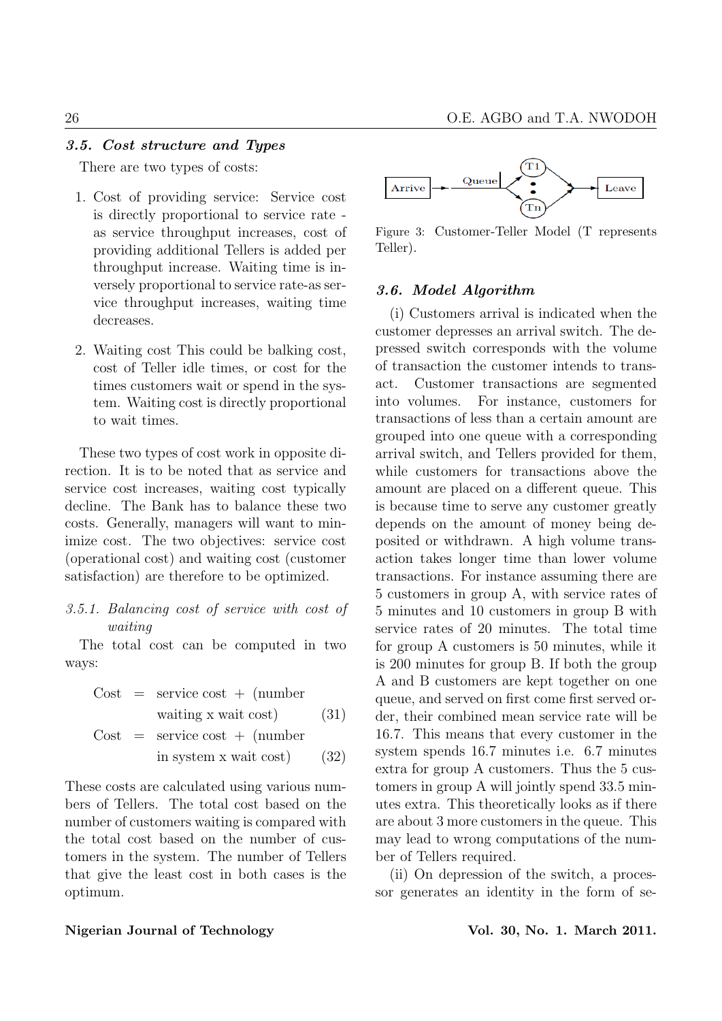# 3.5. Cost structure and Types

There are two types of costs:

- 1. Cost of providing service: Service cost is directly proportional to service rate as service throughput increases, cost of providing additional Tellers is added per throughput increase. Waiting time is inversely proportional to service rate-as service throughput increases, waiting time decreases.
- 2. Waiting cost This could be balking cost, cost of Teller idle times, or cost for the times customers wait or spend in the system. Waiting cost is directly proportional to wait times.

These two types of cost work in opposite direction. It is to be noted that as service and service cost increases, waiting cost typically decline. The Bank has to balance these two costs. Generally, managers will want to minimize cost. The two objectives: service cost (operational cost) and waiting cost (customer satisfaction) are therefore to be optimized.

# 3.5.1. Balancing cost of service with cost of waiting

The total cost can be computed in two ways:

Cost = service cost + (number waiting x wait cost) (31) Cost = service cost + (number in system x wait cost) (32)

These costs are calculated using various numbers of Tellers. The total cost based on the number of customers waiting is compared with the total cost based on the number of customers in the system. The number of Tellers that give the least cost in both cases is the optimum.



Figure 3: Customer-Teller Model (T represents Teller).

# 3.6. Model Algorithm

(i) Customers arrival is indicated when the customer depresses an arrival switch. The depressed switch corresponds with the volume of transaction the customer intends to transact. Customer transactions are segmented into volumes. For instance, customers for transactions of less than a certain amount are grouped into one queue with a corresponding arrival switch, and Tellers provided for them, while customers for transactions above the amount are placed on a different queue. This is because time to serve any customer greatly depends on the amount of money being deposited or withdrawn. A high volume transaction takes longer time than lower volume transactions. For instance assuming there are 5 customers in group A, with service rates of 5 minutes and 10 customers in group B with service rates of 20 minutes. The total time for group A customers is 50 minutes, while it is 200 minutes for group B. If both the group A and B customers are kept together on one queue, and served on first come first served order, their combined mean service rate will be 16.7. This means that every customer in the system spends 16.7 minutes i.e. 6.7 minutes extra for group A customers. Thus the 5 customers in group A will jointly spend 33.5 minutes extra. This theoretically looks as if there are about 3 more customers in the queue. This may lead to wrong computations of the number of Tellers required.

(ii) On depression of the switch, a processor generates an identity in the form of se-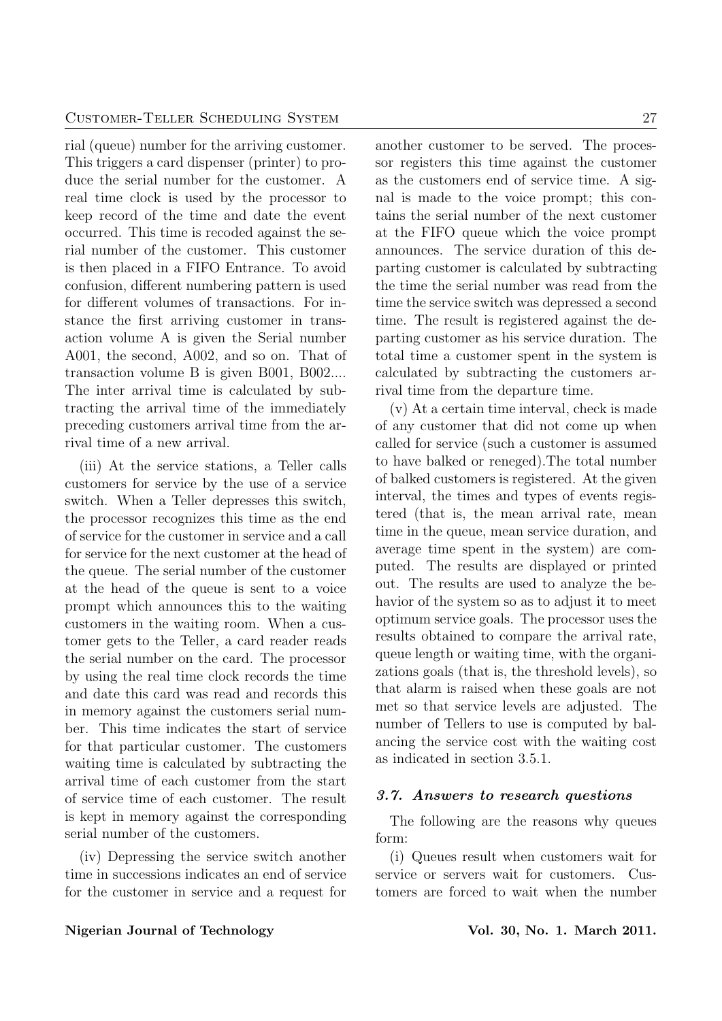rial (queue) number for the arriving customer. This triggers a card dispenser (printer) to produce the serial number for the customer. A real time clock is used by the processor to keep record of the time and date the event occurred. This time is recoded against the serial number of the customer. This customer is then placed in a FIFO Entrance. To avoid confusion, different numbering pattern is used for different volumes of transactions. For instance the first arriving customer in transaction volume A is given the Serial number A001, the second, A002, and so on. That of transaction volume B is given B001, B002.... The inter arrival time is calculated by subtracting the arrival time of the immediately preceding customers arrival time from the arrival time of a new arrival.

(iii) At the service stations, a Teller calls customers for service by the use of a service switch. When a Teller depresses this switch, the processor recognizes this time as the end of service for the customer in service and a call for service for the next customer at the head of the queue. The serial number of the customer at the head of the queue is sent to a voice prompt which announces this to the waiting customers in the waiting room. When a customer gets to the Teller, a card reader reads the serial number on the card. The processor by using the real time clock records the time and date this card was read and records this in memory against the customers serial number. This time indicates the start of service for that particular customer. The customers waiting time is calculated by subtracting the arrival time of each customer from the start of service time of each customer. The result is kept in memory against the corresponding serial number of the customers.

(iv) Depressing the service switch another time in successions indicates an end of service for the customer in service and a request for another customer to be served. The processor registers this time against the customer as the customers end of service time. A signal is made to the voice prompt; this contains the serial number of the next customer at the FIFO queue which the voice prompt announces. The service duration of this departing customer is calculated by subtracting the time the serial number was read from the time the service switch was depressed a second time. The result is registered against the departing customer as his service duration. The total time a customer spent in the system is calculated by subtracting the customers arrival time from the departure time.

(v) At a certain time interval, check is made of any customer that did not come up when called for service (such a customer is assumed to have balked or reneged).The total number of balked customers is registered. At the given interval, the times and types of events registered (that is, the mean arrival rate, mean time in the queue, mean service duration, and average time spent in the system) are computed. The results are displayed or printed out. The results are used to analyze the behavior of the system so as to adjust it to meet optimum service goals. The processor uses the results obtained to compare the arrival rate, queue length or waiting time, with the organizations goals (that is, the threshold levels), so that alarm is raised when these goals are not met so that service levels are adjusted. The number of Tellers to use is computed by balancing the service cost with the waiting cost as indicated in section 3.5.1.

### 3.7. Answers to research questions

The following are the reasons why queues form:

(i) Queues result when customers wait for service or servers wait for customers. Customers are forced to wait when the number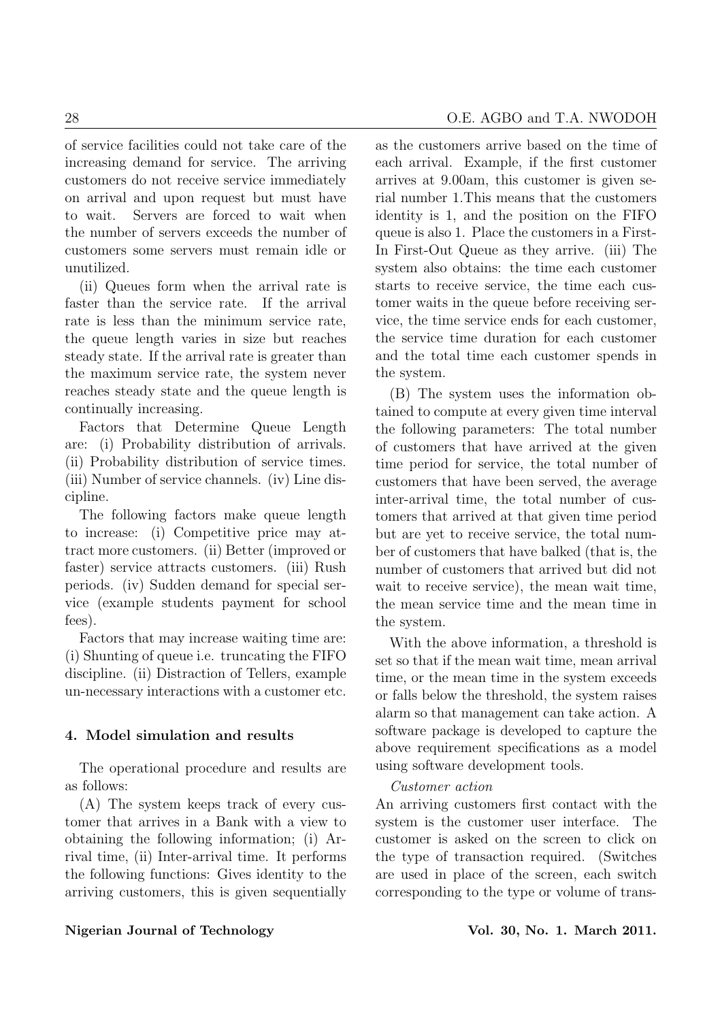of service facilities could not take care of the increasing demand for service. The arriving customers do not receive service immediately on arrival and upon request but must have to wait. Servers are forced to wait when the number of servers exceeds the number of customers some servers must remain idle or unutilized.

(ii) Queues form when the arrival rate is faster than the service rate. If the arrival rate is less than the minimum service rate, the queue length varies in size but reaches steady state. If the arrival rate is greater than the maximum service rate, the system never reaches steady state and the queue length is continually increasing.

Factors that Determine Queue Length are: (i) Probability distribution of arrivals. (ii) Probability distribution of service times. (iii) Number of service channels. (iv) Line discipline.

The following factors make queue length to increase: (i) Competitive price may attract more customers. (ii) Better (improved or faster) service attracts customers. (iii) Rush periods. (iv) Sudden demand for special service (example students payment for school fees).

Factors that may increase waiting time are: (i) Shunting of queue i.e. truncating the FIFO discipline. (ii) Distraction of Tellers, example un-necessary interactions with a customer etc.

# 4. Model simulation and results

The operational procedure and results are as follows:

(A) The system keeps track of every customer that arrives in a Bank with a view to obtaining the following information; (i) Arrival time, (ii) Inter-arrival time. It performs the following functions: Gives identity to the arriving customers, this is given sequentially as the customers arrive based on the time of each arrival. Example, if the first customer arrives at 9.00am, this customer is given serial number 1.This means that the customers identity is 1, and the position on the FIFO queue is also 1. Place the customers in a First-In First-Out Queue as they arrive. (iii) The system also obtains: the time each customer starts to receive service, the time each customer waits in the queue before receiving service, the time service ends for each customer, the service time duration for each customer and the total time each customer spends in the system.

(B) The system uses the information obtained to compute at every given time interval the following parameters: The total number of customers that have arrived at the given time period for service, the total number of customers that have been served, the average inter-arrival time, the total number of customers that arrived at that given time period but are yet to receive service, the total number of customers that have balked (that is, the number of customers that arrived but did not wait to receive service), the mean wait time, the mean service time and the mean time in the system.

With the above information, a threshold is set so that if the mean wait time, mean arrival time, or the mean time in the system exceeds or falls below the threshold, the system raises alarm so that management can take action. A software package is developed to capture the above requirement specifications as a model using software development tools.

# Customer action

An arriving customers first contact with the system is the customer user interface. The customer is asked on the screen to click on the type of transaction required. (Switches are used in place of the screen, each switch corresponding to the type or volume of trans-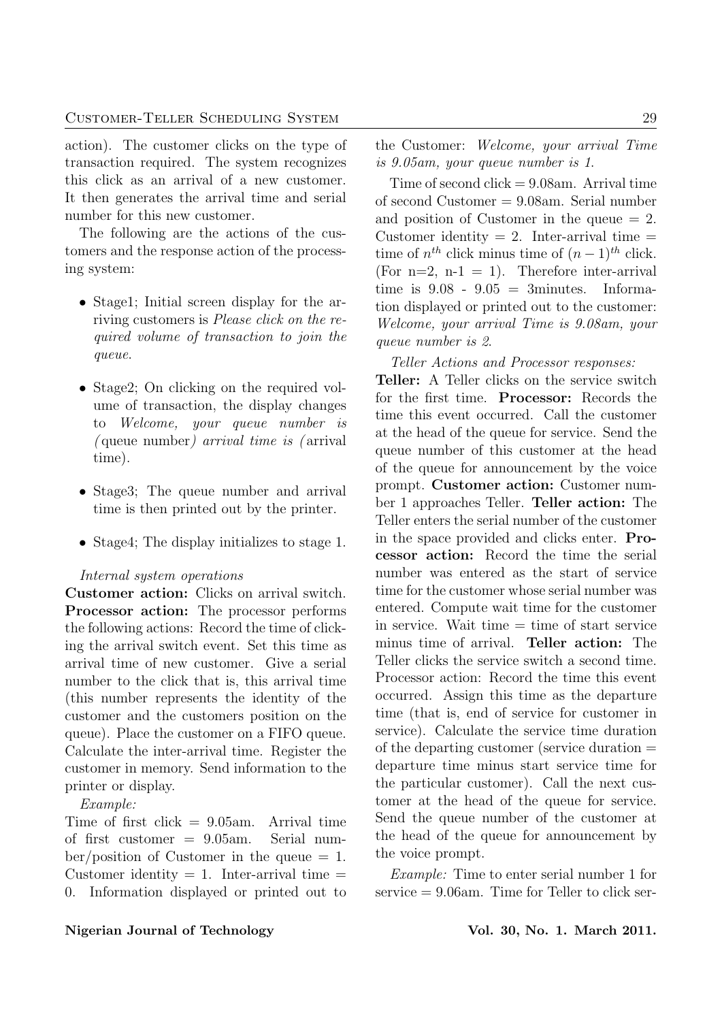action). The customer clicks on the type of transaction required. The system recognizes this click as an arrival of a new customer. It then generates the arrival time and serial number for this new customer.

The following are the actions of the customers and the response action of the processing system:

- Stage1; Initial screen display for the arriving customers is Please click on the required volume of transaction to join the queue.
- Stage2; On clicking on the required volume of transaction, the display changes to Welcome, your queue number is ( queue number) arrival time is ( arrival time).
- Stage3; The queue number and arrival time is then printed out by the printer.
- Stage4; The display initializes to stage 1.

### Internal system operations

Customer action: Clicks on arrival switch. Processor action: The processor performs the following actions: Record the time of clicking the arrival switch event. Set this time as arrival time of new customer. Give a serial number to the click that is, this arrival time (this number represents the identity of the customer and the customers position on the queue). Place the customer on a FIFO queue. Calculate the inter-arrival time. Register the customer in memory. Send information to the printer or display.

Example:

Time of first click  $= 9.05$ am. Arrival time of first customer = 9.05am. Serial num $ber/position$  of Customer in the queue  $= 1$ . Customer identity  $= 1$ . Inter-arrival time  $=$ 0. Information displayed or printed out to the Customer: Welcome, your arrival Time is 9.05am, your queue number is 1.

Time of second  $click = 9.08$ am. Arrival time of second Customer = 9.08am. Serial number and position of Customer in the queue  $= 2$ . Customer identity  $= 2$ . Inter-arrival time  $=$ time of  $n^{th}$  click minus time of  $(n-1)^{th}$  click. (For  $n=2$ ,  $n-1 = 1$ ). Therefore inter-arrival time is  $9.08 - 9.05 = 3$ minutes. Information displayed or printed out to the customer: Welcome, your arrival Time is 9.08am, your queue number is 2.

Teller Actions and Processor responses:

Teller: A Teller clicks on the service switch for the first time. Processor: Records the time this event occurred. Call the customer at the head of the queue for service. Send the queue number of this customer at the head of the queue for announcement by the voice prompt. Customer action: Customer number 1 approaches Teller. Teller action: The Teller enters the serial number of the customer in the space provided and clicks enter. Processor action: Record the time the serial number was entered as the start of service time for the customer whose serial number was entered. Compute wait time for the customer in service. Wait time  $=$  time of start service minus time of arrival. Teller action: The Teller clicks the service switch a second time. Processor action: Record the time this event occurred. Assign this time as the departure time (that is, end of service for customer in service). Calculate the service time duration of the departing customer (service duration = departure time minus start service time for the particular customer). Call the next customer at the head of the queue for service. Send the queue number of the customer at the head of the queue for announcement by the voice prompt.

Example: Time to enter serial number 1 for service = 9.06am. Time for Teller to click ser-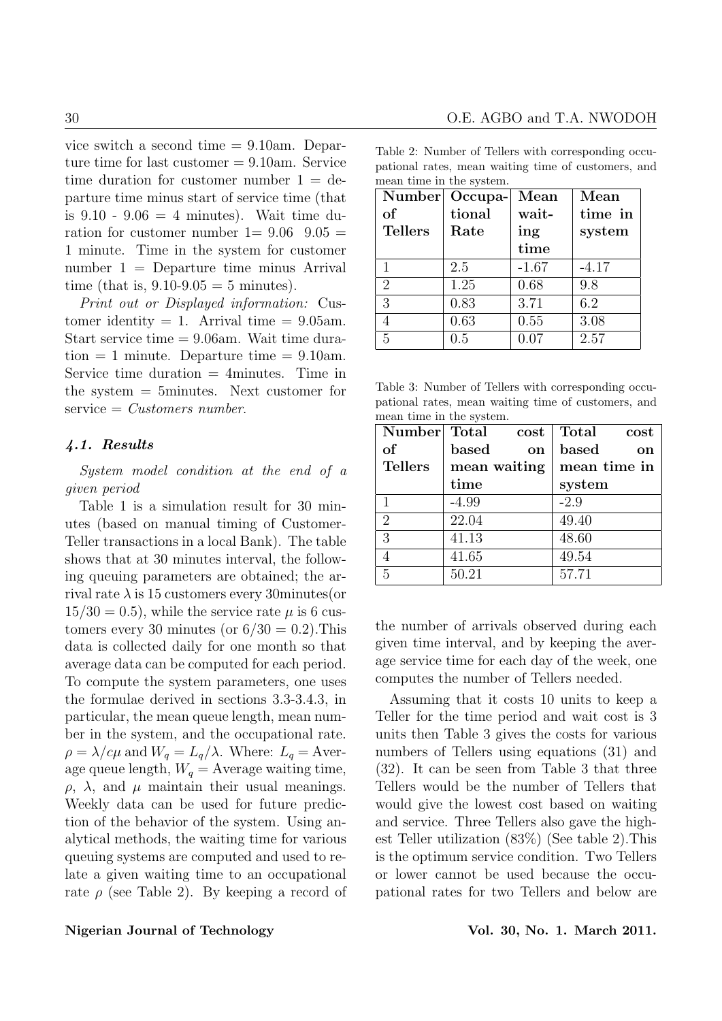vice switch a second time = 9.10am. Departure time for last customer = 9.10am. Service time duration for customer number  $1 = de$ parture time minus start of service time (that is  $9.10 - 9.06 = 4$  minutes). Wait time duration for customer number  $1=9.06$   $9.05=$ 1 minute. Time in the system for customer number 1 = Departure time minus Arrival time (that is,  $9.10 - 9.05 = 5$  minutes).

Print out or Displayed information: Customer identity  $= 1$ . Arrival time  $= 9.05$ am. Start service time = 9.06am. Wait time duration  $= 1$  minute. Departure time  $= 9.10$ am. Service time duration  $=$  4minutes. Time in the system = 5minutes. Next customer for  $s$ ervice = *Customers number*.

# 4.1. Results

System model condition at the end of a given period

Table 1 is a simulation result for 30 minutes (based on manual timing of Customer-Teller transactions in a local Bank). The table shows that at 30 minutes interval, the following queuing parameters are obtained; the arrival rate  $\lambda$  is 15 customers every 30 minutes (or  $15/30 = 0.5$ , while the service rate  $\mu$  is 6 customers every 30 minutes (or  $6/30 = 0.2$ ). This data is collected daily for one month so that average data can be computed for each period. To compute the system parameters, one uses the formulae derived in sections 3.3-3.4.3, in particular, the mean queue length, mean number in the system, and the occupational rate.  $\rho = \lambda/c\mu$  and  $W_q = L_q/\lambda$ . Where:  $L_q =$  Average queue length,  $W_q =$  Average waiting time,  $\rho$ ,  $\lambda$ , and  $\mu$  maintain their usual meanings. Weekly data can be used for future prediction of the behavior of the system. Using analytical methods, the waiting time for various queuing systems are computed and used to relate a given waiting time to an occupational rate  $\rho$  (see Table 2). By keeping a record of

Table 2: Number of Tellers with corresponding occupational rates, mean waiting time of customers, and mean time in the system.

| Number         | Occupa- | Mean    | Mean    |
|----------------|---------|---------|---------|
| of             | tional  | wait-   | time in |
| <b>Tellers</b> | Rate    | ing     | system  |
|                |         | time    |         |
| 1              | 2.5     | $-1.67$ | $-4.17$ |
| $\overline{2}$ | 1.25    | 0.68    | 9.8     |
| 3              | 0.83    | 3.71    | 6.2     |
|                | 0.63    | 0.55    | 3.08    |
| 5              | 0.5     | 0.07    | 2.57    |

Table 3: Number of Tellers with corresponding occupational rates, mean waiting time of customers, and mean time in the system.

| Number Total   | $\cos t$               | Total<br>cost |
|----------------|------------------------|---------------|
| of             | based<br><sub>on</sub> | based<br>on   |
| <b>Tellers</b> | mean waiting           | mean time in  |
|                | time                   | system        |
| 1              | $-4.99$                | $-2.9$        |
| $\overline{2}$ | 22.04                  | 49.40         |
| 3              | 41.13                  | 48.60         |
|                | 41.65                  | 49.54         |
| 5              | 50.21                  | 57.71         |

the number of arrivals observed during each given time interval, and by keeping the average service time for each day of the week, one computes the number of Tellers needed.

Assuming that it costs 10 units to keep a Teller for the time period and wait cost is 3 units then Table 3 gives the costs for various numbers of Tellers using equations (31) and (32). It can be seen from Table 3 that three Tellers would be the number of Tellers that would give the lowest cost based on waiting and service. Three Tellers also gave the highest Teller utilization (83%) (See table 2).This is the optimum service condition. Two Tellers or lower cannot be used because the occupational rates for two Tellers and below are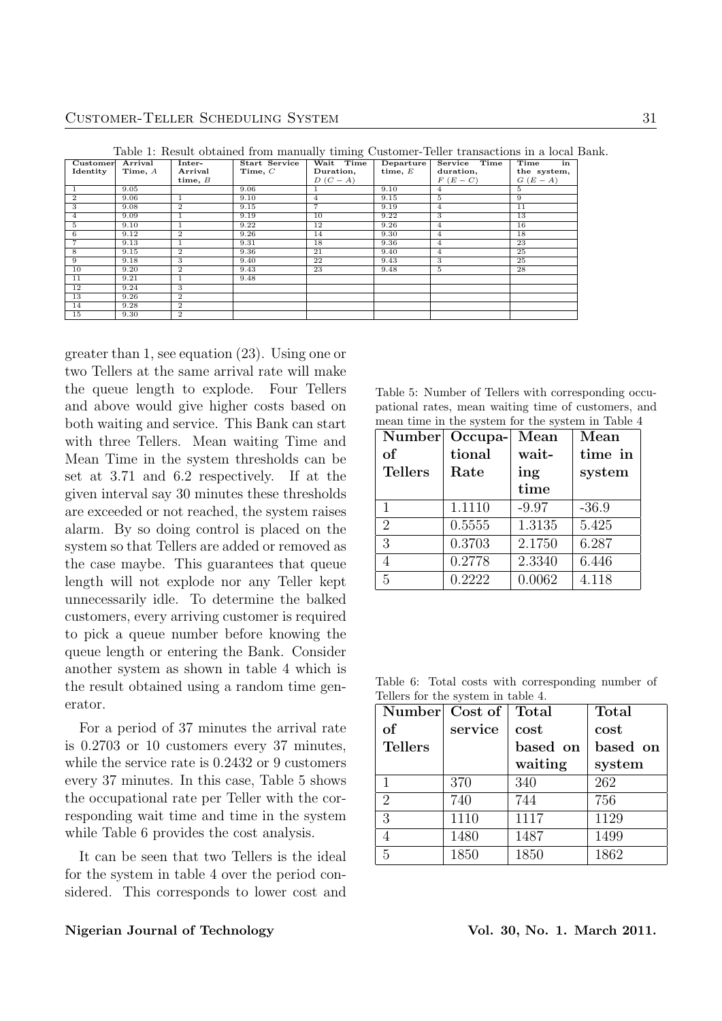| Customer       | Arrival   | Inter-         | Start Service | Wait Time      | Departure | Service Time   | Time<br>in  |
|----------------|-----------|----------------|---------------|----------------|-----------|----------------|-------------|
| Identity       | Time, $A$ | Arrival        | Time, $C$     | Duration,      | time, $E$ | duration,      | the system, |
|                |           | time, $B$      |               | $D(C-A)$       |           | $F(E-C)$       | $G(E-A)$    |
|                | 9.05      |                | 9.06          | 1              | 9.10      | 4              | 5.          |
| $\overline{2}$ | 9.06      |                | 9.10          | $\overline{4}$ | 9.15      | 5.             | 9           |
| 3              | 9.08      | $\overline{2}$ | 9.15          | $\overline{7}$ | 9.19      | $\overline{4}$ | 11          |
| $\overline{4}$ | 9.09      |                | 9.19          | 10             | 9.22      | 3              | 13          |
| $\overline{5}$ | 9.10      |                | 9.22          | 12             | 9.26      | $\overline{4}$ | 16          |
| 6              | 9.12      | $\overline{2}$ | 9.26          | 14             | 9.30      | $\overline{4}$ | 18          |
| $\overline{7}$ | 9.13      |                | 9.31          | 18             | 9.36      | $\overline{4}$ | 23          |
| 8              | 9.15      | $\overline{2}$ | 9.36          | 21             | 9.40      | $\overline{4}$ | 25          |
| 9              | 9.18      | 3              | 9.40          | 22             | 9.43      | 3              | 25          |
| 10             | 9.20      | $\mathbf{2}$   | 9.43          | 23             | 9.48      | 5              | 28          |
| 11             | 9.21      |                | 9.48          |                |           |                |             |
| 12             | 9.24      | 3              |               |                |           |                |             |
| 13             | 9.26      | $\mathbf{2}$   |               |                |           |                |             |
| 14             | 9.28      | $\overline{2}$ |               |                |           |                |             |
| 15             | 9.30      | $\overline{2}$ |               |                |           |                |             |

Table 1: Result obtained from manually timing Customer-Teller transactions in a local Bank.

greater than 1, see equation (23). Using one or two Tellers at the same arrival rate will make the queue length to explode. Four Tellers and above would give higher costs based on both waiting and service. This Bank can start with three Tellers. Mean waiting Time and Mean Time in the system thresholds can be set at 3.71 and 6.2 respectively. If at the given interval say 30 minutes these thresholds are exceeded or not reached, the system raises alarm. By so doing control is placed on the system so that Tellers are added or removed as the case maybe. This guarantees that queue length will not explode nor any Teller kept unnecessarily idle. To determine the balked customers, every arriving customer is required to pick a queue number before knowing the queue length or entering the Bank. Consider another system as shown in table 4 which is the result obtained using a random time generator.

For a period of 37 minutes the arrival rate is 0.2703 or 10 customers every 37 minutes, while the service rate is 0.2432 or 9 customers every 37 minutes. In this case, Table 5 shows the occupational rate per Teller with the corresponding wait time and time in the system while Table 6 provides the cost analysis.

It can be seen that two Tellers is the ideal for the system in table 4 over the period considered. This corresponds to lower cost and

Table 5: Number of Tellers with corresponding occupational rates, mean waiting time of customers, and mean time in the system for the system in Table 4

| Number         | Occupa- | Mean    | Mean    |
|----------------|---------|---------|---------|
| of             | tional  |         | time in |
| <b>Tellers</b> | Rate    | ing     | system  |
|                |         | time    |         |
| $\mathbf{1}$   | 1.1110  | $-9.97$ | $-36.9$ |
| $\overline{2}$ | 0.5555  | 1.3135  | 5.425   |
| 3              | 0.3703  | 2.1750  | 6.287   |
| 4              | 0.2778  | 2.3340  | 6.446   |
| 5              | 0.2222  | 0.0062  | 4.118   |

Table 6: Total costs with corresponding number of Tellers for the system in table 4.

| Number Cost of |         | Total    | <b>Total</b> |  |
|----------------|---------|----------|--------------|--|
| <sub>of</sub>  | service | cost     | cost         |  |
| <b>Tellers</b> |         | based on | based on     |  |
|                |         | waiting  | system       |  |
| 1              | 370     | 340      | 262          |  |
| $\overline{2}$ | 740     | 744      | 756          |  |
| 3              | 1110    | 1117     | 1129         |  |
| 4              | 1480    | 1487     | 1499         |  |
| 5              | 1850    | 1850     | 1862         |  |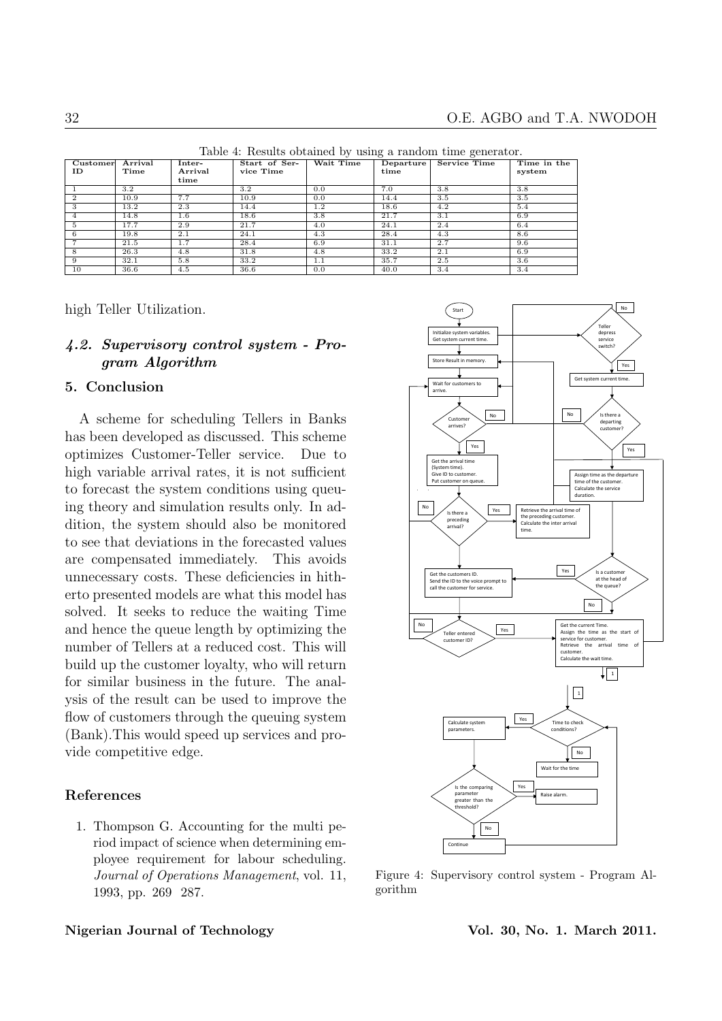Customer ID Arrival Time Inter-Arrival time Start of Ser-vice Time  $\overline{\mathbf{D}}$ epartur time  $\overline{\text{Time in the}}$ system 1 3.2 3.2 0.0 7.0 3.8 3.8 2 | 10.9 | 7.7 | 10.9 | 0.0 | 14.4 | 3.5 | 3.5 3 | 13.2 | 2.3 | 14.4 | 1.2 | 18.6 | 4.2 | 5.4 4 | 14.8 | 1.6 | 18.6 | 3.8 | 21.7 | 3.1 | 6.9  $5 \t\t | 17.7 \t\t | 2.9 \t\t | 21.7 \t\t | 4.0 \t\t | 24.1 \t\t | 2.4 \t\t | 6.4$ 6 | 19.8 | 2.1 | 24.1 | 4.3 | 28.4 | 4.3 | 8.6  $7 \t\t 21.5 \t 1.7 \t 28.4 \t 6.9 \t 31.1 \t 2.7 \t 9.6$ 8 | 26.3 | 4.8 | 31.8 | 4.8 | 33.2 | 2.1 | 6.9 9 32.1 5.8 33.2 1.1 35.7 2.5 3.6 10 | 36.6 | 4.5 | 36.6 | 0.0 | 40.0 | 3.4 | 3.4

Table 4: Results obtained by using a random time generator.

high Teller Utilization.

# 4.2. Supervisory control system - Program Algorithm

#### 5. Conclusion

A scheme for scheduling Tellers in Banks has been developed as discussed. This scheme optimizes Customer-Teller service. Due to high variable arrival rates, it is not sufficient to forecast the system conditions using queuing theory and simulation results only. In addition, the system should also be monitored to see that deviations in the forecasted values are compensated immediately. This avoids unnecessary costs. These deficiencies in hitherto presented models are what this model has solved. It seeks to reduce the waiting Time and hence the queue length by optimizing the number of Tellers at a reduced cost. This will build up the customer loyalty, who will return for similar business in the future. The analysis of the result can be used to improve the flow of customers through the queuing system (Bank).This would speed up services and provide competitive edge.

# References

1. Thompson G. Accounting for the multi period impact of science when determining employee requirement for labour scheduling. Journal of Operations Management, vol. 11, 1993, pp. 269 287.



Figure 4: Supervisory control system - Program Algorithm